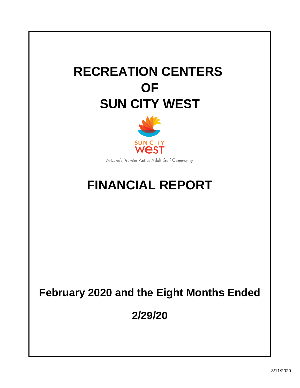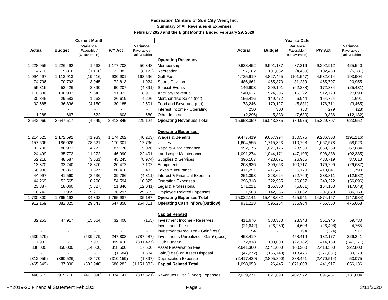### **Recreation Centers of Sun City West, Inc. Summary of All Revenues & Expenses February 2020 and the Eight Months Ended February 29, 2020**

|               |                | <b>Current Month</b>                     |                          |                                          |                                        |               |                |                                          |             |                                          |
|---------------|----------------|------------------------------------------|--------------------------|------------------------------------------|----------------------------------------|---------------|----------------|------------------------------------------|-------------|------------------------------------------|
| <b>Actual</b> | <b>Budget</b>  | Variance<br>Favorable /<br>(Unfavorable) | P/Y Act                  | Variance<br>Favorable /<br>(Unfavorable) |                                        | Actual        | <b>Budget</b>  | Variance<br>Favorable /<br>(Unfavorable) | P/Y Act     | Variance<br>Favorable /<br>(Unfavorable) |
|               |                |                                          |                          |                                          | <b>Operating Revenues</b>              |               |                |                                          |             |                                          |
| 1,228,055     | 1,226,492      | 1,563                                    | 1,177,708                | 50,348                                   | Membership                             | 9,628,452     | 9,591,137      | 37,316                                   | 9,202,912   | 425,540                                  |
| 14,710        | 15,816         | (1,106)                                  | 22,882                   | (8, 173)                                 | Recreation                             | 97,182        | 101,632        | (4, 450)                                 | 102,463     | (5,281)                                  |
| 1,094,497     | 1,113,913      | (19, 416)                                | 930,901                  | 163,596                                  | <b>Golf Fees</b>                       | 4,725,919     | 4,827,465      | (101, 547)                               | 4,532,014   | 193,904                                  |
| 74,736        | 70,792         | 3,945                                    | 72,813                   | 1,924                                    | Sports Pavilion                        | 486,661       | 455,373        | 31,289                                   | 465,707     | 20,955                                   |
| 55,316        | 52,426         | 2,890                                    | 60,207                   | (4,891)                                  | <b>Special Events</b>                  | 146,903       | 209,191        | (62, 288)                                | 172,334     | (25, 431)                                |
| 110,836       | 100,993        | 9,842                                    | 91,923                   | 18,912                                   | <b>Ancillary Revenue</b>               | 540,627       | 524,305        | 16,322                                   | 512,728     | 27,899                                   |
| 30,845        | 29,583         | 1,262                                    | 26,619                   | 4,226                                    | Merchandise Sales (net)                | 156,416       | 149,472        | 6,944                                    | 154,724     | 1,691                                    |
| 32,685        | 36,836         | (4, 150)                                 | 30,185                   | 2,501                                    | Food and Beverage (net)                | 173,246       | 179,127        | (5,881)                                  | 176,711     | (3, 465)                                 |
|               | $\overline{a}$ | $\overline{\phantom{a}}$                 |                          | $\ddot{\phantom{a}}$                     | Interest Income - Operating            | 250           | 300            | (50)                                     | 279         | (28)                                     |
| 1,288         | 667            | 622                                      | 608                      | 680                                      | Other Income                           | (2, 296)      | 5,333          | (7,630)                                  | 9,836       | (12, 132)                                |
| 2,642,969     | 2,647,517      | (4,549)                                  | 2,413,845                | 229,124                                  | <b>Operating Revenues Total</b>        | 15,953,359    | 16,043,335     | (89, 976)                                | 15,329,707  | 623,652                                  |
|               |                |                                          |                          |                                          | <b>Operating Expenses</b>              |               |                |                                          |             |                                          |
| 1,214,525     | 1,172,592      | (41, 933)                                | 1,174,262                | (40, 263)                                | Wages & Benefits                       | 9,477,419     | 9,657,994      | 180,575                                  | 9,286,303   | (191, 116)                               |
| 157,506       | 186,026        | 28,521                                   | 170,301                  | 12,796                                   | <b>Utilities</b>                       | 1,604,555     | 1,715,323      | 110,768                                  | 1,662,578   | 58,023                                   |
| 82,700        | 86,972         | 4,272                                    | 87,776                   | 5,076                                    | Repairs & Maintenance                  | 992,175       | 1,021,125      | 28,950                                   | 1,059,259   | 67,084                                   |
| 24,499        | 35,772         | 11,272                                   | 46,990                   | 22,491                                   | Landscape Maintenance                  | 1,091,274     | 1,044,171      | (47, 103)                                | 998,888     | (92, 385)                                |
| 52,218        | 48,587         | (3,631)                                  | 43,245                   | (8,974)                                  | Supplies & Services                    | 396,107       | 423,071        | 26,965                                   | 433,719     | 37,613                                   |
| 13,370        | 32,240         | 18,870                                   | 20,472                   | 7,102                                    | Equipment                              | 208,936       | 309,653        | 100,717                                  | 179,299     | (29, 637)                                |
| 66,986        | 78,863         | 11,877                                   | 80,418                   | 13,432                                   | Taxes & Insurance                      | 411,251       | 417,421        | 6,170                                    | 413,041     | 1,790                                    |
| 44,097        | 41,560         | (2,536)                                  | 39,786                   | (4, 311)                                 | Interest & Financial Expense           | 251,393       | 228,624        | (22, 769)                                | 238,811     | (12, 582)                                |
| 44,269        | 52,565         | 8,296                                    | 54,594                   | 10,325                                   | <b>Operating Expenses</b>              | 296,318       | 322,985        | 26,667                                   | 240,222     | (56,096)                                 |
| 23,887        | 18,060         | (5,827)                                  | 11,846                   | (12,041)                                 | Legal & Professional                   | 171,211       | 165,350        | (5,861)                                  | 154,163     | (17, 048)                                |
| 6,742         | 11,955         | 5,212                                    | 36,297                   | 29,555                                   | <b>Employee Related Expenses</b>       | 121,503       | 142,366        | 20,862                                   | 207,873     | 86,369                                   |
| 1,730,800     | 1,765,192      | 34,392                                   | 1,765,987                | 35,187                                   | <b>Operating Expenses Total</b>        | 15,022,141    | 15,448,082     | 425,941                                  | 14,874,157  | (147, 984)                               |
| 912,169       | 882,325        | 29,843                                   | 647,858                  | 264,311                                  | <b>Operating Cash Inflow/(Outflow)</b> | 931,218       | 595,254        | 335,964                                  | 455,550     | 475,668                                  |
|               |                |                                          |                          |                                          | <b>Capital Related</b>                 |               |                |                                          |             |                                          |
| 32,253        | 47,917         | (15,664)                                 | 32,408                   | (155)                                    | Investment Income - Reserves           | 411,676       | 383,333        | 28,343                                   | 351,946     | 59,730                                   |
|               | $\overline{a}$ |                                          | $\overline{\phantom{a}}$ | $\blacksquare$                           | <b>Investment Fees</b>                 | (21, 642)     | (26, 250)      | 4,608                                    | (26, 408)   | 4,765                                    |
|               |                |                                          |                          | $\blacksquare$                           | Investments-Realized - Gain/Loss)      | 194           |                | 194                                      | (324)       | 517                                      |
| (539, 679)    | $\overline{a}$ | (539, 679)                               | 247,808                  | (787, 487)                               | Investments Unrealized - Gain/ (Loss)  | 458,419       | $\blacksquare$ | 458,419                                  | 132,177     | 326,241                                  |
| 17,933        |                | 17,933                                   | 399,410                  | (381, 477)                               | Club Funded                            | 72,818        | 100,000        | (27, 182)                                | 414,189     | (341, 371)                               |
| 336,000       | 350,000        | (14,000)                                 | 318,500                  | 17,500                                   | <b>Asset Preservation Fee</b>          | 2,641,300     | 2,541,000      | 100,300                                  | 2,418,500   | 222,800                                  |
|               |                |                                          | (1,684)                  | 1,684                                    | Gain/(Loss) on Asset Disposal          | (47, 272)     | (165, 748)     | 118,475                                  | (377, 651)  | 330,379                                  |
| (312,056)     | (360, 526)     | 48,470                                   | (310, 159)               | (1,897)                                  | <b>Depreciation Expense</b>            | (2, 417, 439) | (2,805,890)    | 388,451                                  | (2,470,514) | 53,075                                   |
| (465, 549)    | 37,390         | (502, 940)                               | 686,283                  | (1, 151, 832)                            | <b>Capital Related Total</b>           | 1,098,053     | 26,445         | 1,071,608                                | 441,917     | 656,136                                  |
|               |                |                                          |                          |                                          |                                        |               |                |                                          |             |                                          |
| 446,619       | 919,716        | (473,096)                                | 1,334,141                | (887, 521)                               | Revenues Over (Under) Expenses         | 2,029,271     | 621,699        | 1,407,572                                | 897,467     | 1,131,804                                |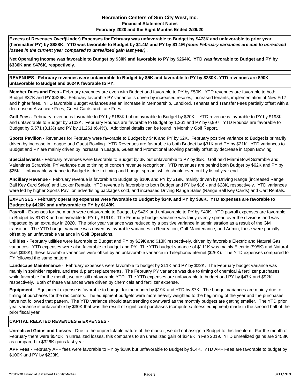#### **Recreation Centers of Sun City West, Inc. Financial Statement Notes February 2020 and the Eight Months Ended 2/29/20**

**Excess of Revenues Over/(Under) Expenses for February was unfavorable to Budget by \$473K and unfavorable to prior year (hereinafter PY) by \$888K. YTD was favorable to Budget by \$1.4M and PY by \$1.1M** *(note: February variances are due to unrealized losses in the current year compared to unrealized gain last year)* **.**

**Net Operating Income was favorable to Budget by \$30K and favorable to PY by \$264K. YTD was favorable to Budget and PY by \$336K and \$476K, respectively.**

**REVENUES - February revenues were unfavorable to Budget by \$5K and favorable to PY by \$230K. YTD revenues are \$90K unfavorable to Budget and \$624K favorable to PY.**

**Member Dues and Fees -** February revenues are even with Budget and favorable to PY by \$50K. YTD revenues are favorable to both Budget \$37K and PY \$426K. February favorable PY variance is driven by increased resales, increased tenants, implementation of New Fi17 and higher fees. YTD favorable Budget variances see an increase in Membership, Landlord, Tenants and Transfer Fees partially offset with a decrease in Associate Fees, Guest Cards and Late Fees.

**Golf Fees -** February revenue is favorable to PY by \$163K but unfavorable to Budget by \$20K . YTD revenue is favorable to PY by \$193K and unfavorable to Budget by \$102K. February Rounds are favorable to Budget by 1,361 and PY by 6,997. YTD Rounds are favorable to Budget by 5,571 (3.1%) and PY by 11,261 (6.4%). Additional details can be found in Monthly Golf Report.

**Sports Pavilion -** Revenues for February were favorable to Budget by \$4K and PY by \$2K. February positive variance to Budget is primarily driven by increase in League and Guest Bowling. YTD Revenues are favorable to both Budget by \$31K and PY by \$21K. YTD variances to Budget and PY are mainly driven by increase in League, Guest and Promotional Bowling partially offset by decrease in Open Bowling.

**Special Events -** February revenues were favorable to Budget by 3K but unfavorable to PY by \$5K. Golf held Miami Bowl Scramble and Valentines Scramble. PY variance due to timing of concert revenue recognition. YTD revenues are behind both Budget by \$62K and PY by \$25K. Unfavorable variance to Budget is due to timing and budget spread, which should even out by fiscal year end.

**Ancillary Revenue -** February revenue is favorable to Budget by \$10K and PY by \$19K, mainly driven by Driving Range (increased Range Ball Key Card Sales) and Locker Rentals. YTD revenue is favorable to both Budget and PY by \$16K and \$28K, respectively. YTD variances were led by higher Sports Pavilion advertising packages sold, and increased Driving Range Sales (Range Ball Key Cards) and Cart Rentals.

**EXPENSES - February operating expenses were favorable to Budget by \$34K and PY by \$36K. YTD expenses are favorable to Budget by \$426K and unfavorable to PY by \$148K.** 

**Payroll** - Expenses for the month were unfavorable to Budget by \$42K and unfavorable to PY by \$40K. YTD payroll expenses are favorable to Budget by \$181K and unfavorable to PY by \$191K. The February budget variance was fairly evenly spread over the divisions and was impacted by an extra day in 2020. The prior year variance was reduced by a positive variance in administration as a result of the GM transition. The YTD budget variance was driven by favorable variances in Recreation, Golf Maintenance, and Admin, these were partially offset by an unfavorable variance in Golf Operations.

**Utilities** - February utilities were favorable to Budget and PY by \$29K and \$13K respectively, driven by favorable Electric and Natural Gas variances. YTD expenses were also favorable to budget and PY. The YTD budget variance of \$111K was mainly Electric (\$95K) and Natural Gas (\$38K), these favorable variances were offset by an unfavorable variance in Telephone/Internet (\$26K). The YTD expenses compared to PY followed the same pattern.

**Landscape Maintenance** - February expenses were favorable to budget by \$11K and PY by \$22K. The February budget variance was mainly in sprinkler repairs, and tree & plant replacements. The February PY variance was due to timing of chemical & fertilizer purchases, while favorable for the month, we are still unfavorable YTD. The YTD expenses are unfavorable to budget and PY by \$47K and \$92K respectively. Both of these variances were driven by chemicals and fertilizer expense.

**Equipment** - Equipment expense is favorable to budget for the month by \$19K and YTD by \$7K. The budget variances are mainly due to timing of purchases for the rec centers. The equipment budgets were more heavily weighted to the beginning of the year and the purchases have not followed that pattern. The YTD variance should start trending downward as the monthly budgets are getting smaller. The YTD prior year variance is unfavorable by \$30K that was the result of significant purchases (computers/fitness equipment) made in the second half of the prior fiscal year.

#### **CAPITAL RELATED REVENUES & EXPENSES -**

**Unrealized Gains and Losses** - Due to the unpredictable nature of the market, we did not assign a Budget to this line item. For the month of February there were \$540K in unrealized losses, this compares to an unrealized gain of \$248K in Feb 2019. YTD unrealized gains are \$458K as compared to \$326K gains last year.

**APF Fees -** February APF fees were favorable to PY by \$18K but unfavorable to Budget by \$14K. YTD APF Fees are favorable to budget by \$100K and PY by \$223K.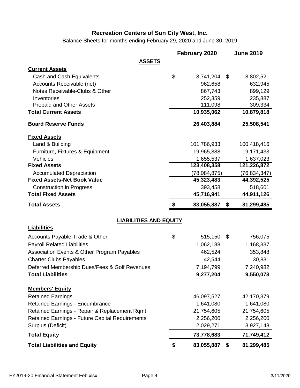Balance Sheets for months ending February 29, 2020 and June 30, 2019

|                                                                           |                               | February 2020          | <b>June 2019</b> |                        |
|---------------------------------------------------------------------------|-------------------------------|------------------------|------------------|------------------------|
|                                                                           | <b>ASSETS</b>                 |                        |                  |                        |
| <b>Current Assets</b>                                                     |                               |                        |                  |                        |
| Cash and Cash Equivalents                                                 | \$                            | 8,741,204              | \$               | 8,802,521              |
| Accounts Receivable (net)                                                 |                               | 962,658                |                  | 632,945                |
| Notes Receivable-Clubs & Other                                            |                               | 867,743                |                  | 899,129                |
| Inventories                                                               |                               | 252,359                |                  | 235,887                |
| <b>Prepaid and Other Assets</b>                                           |                               | 111,098                |                  | 309,334                |
| <b>Total Current Assets</b>                                               |                               | 10,935,062             | 10,879,818       |                        |
| <b>Board Reserve Funds</b>                                                |                               | 26,403,884             | 25,508,541       |                        |
| <b>Fixed Assets</b>                                                       |                               |                        |                  |                        |
| Land & Building                                                           |                               | 101,786,933            | 100,418,416      |                        |
| Furniture, Fixtures & Equipment                                           |                               | 19,965,888             | 19,171,433       |                        |
| Vehicles                                                                  |                               | 1,655,537              |                  | 1,637,023              |
| <b>Fixed Assets</b>                                                       |                               | 123,408,358            | 121,226,872      |                        |
| <b>Accumulated Depreciation</b>                                           |                               | (78,084,875)           | (76, 834, 347)   |                        |
| <b>Fixed Assets-Net Book Value</b>                                        |                               | 45,323,483             | 44,392,525       |                        |
| <b>Construction in Progress</b>                                           |                               | 393,458                |                  | 518,601                |
| <b>Total Fixed Assets</b>                                                 |                               | 45,716,941             | 44,911,126       |                        |
|                                                                           |                               |                        |                  |                        |
| <b>Total Assets</b>                                                       | S                             | 83,055,887             | 81,299,485<br>\$ |                        |
|                                                                           | <b>LIABILITIES AND EQUITY</b> |                        |                  |                        |
| <b>Liabilities</b>                                                        |                               |                        |                  |                        |
|                                                                           |                               |                        | \$               |                        |
| Accounts Payable-Trade & Other                                            | \$                            | 515,150                |                  | 756,075                |
| <b>Payroll Related Liabilities</b>                                        |                               | 1,062,188              |                  | 1,168,337              |
| Association Events & Other Program Payables                               |                               | 462,524                |                  | 353,848                |
| <b>Charter Clubs Payables</b>                                             |                               | 42,544                 |                  | 30,831                 |
| Deferred Membership Dues/Fees & Golf Revenues<br><b>Total Liabilities</b> |                               | 7,194,799<br>9,277,204 |                  | 7,240,982<br>9,550,073 |
|                                                                           |                               |                        |                  |                        |
| <b>Members' Equity</b>                                                    |                               |                        |                  |                        |
| <b>Retained Earnings</b>                                                  |                               | 46,097,527             | 42,170,379       |                        |
| <b>Retained Earnings - Encumbrance</b>                                    |                               | 1,641,080              |                  | 1,641,080              |
| Retained Earnings - Repair & Replacement Rqmt                             |                               | 21,754,605             | 21,754,605       |                        |
| <b>Retained Earnings - Future Capital Requirements</b>                    |                               | 2,256,200              |                  | 2,256,200              |
| Surplus (Deficit)                                                         |                               | 2,029,271              |                  | 3,927,148              |
| <b>Total Equity</b>                                                       |                               | 73,778,683             | 71,749,412       |                        |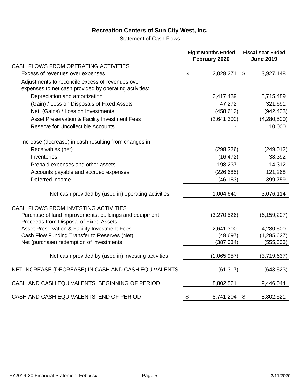Statement of Cash Flows

|                                                                                                            |                | <b>Eight Months Ended</b><br>February 2020 | <b>Fiscal Year Ended</b><br><b>June 2019</b> |
|------------------------------------------------------------------------------------------------------------|----------------|--------------------------------------------|----------------------------------------------|
| CASH FLOWS FROM OPERATING ACTIVITIES                                                                       |                |                                            |                                              |
| Excess of revenues over expenses                                                                           | $\mathfrak{S}$ | 2,029,271                                  | \$<br>3,927,148                              |
| Adjustments to reconcile excess of revenues over<br>expenses to net cash provided by operating activities: |                |                                            |                                              |
| Depreciation and amortization                                                                              |                | 2,417,439                                  | 3,715,489                                    |
| (Gain) / Loss on Disposals of Fixed Assets                                                                 |                | 47,272                                     | 321,691                                      |
| Net (Gains) / Loss on Investments                                                                          |                | (458, 612)                                 | (942, 433)                                   |
| Asset Preservation & Facility Investment Fees                                                              |                | (2,641,300)                                | (4,280,500)                                  |
| <b>Reserve for Uncollectible Accounts</b>                                                                  |                |                                            | 10,000                                       |
| Increase (decrease) in cash resulting from changes in                                                      |                |                                            |                                              |
| Receivables (net)                                                                                          |                | (298, 326)                                 | (249, 012)                                   |
| Inventories                                                                                                |                | (16, 472)                                  | 38,392                                       |
| Prepaid expenses and other assets                                                                          |                | 198,237                                    | 14,312                                       |
| Accounts payable and accrued expenses                                                                      |                | (226, 685)                                 | 121,268                                      |
| Deferred income                                                                                            |                | (46, 183)                                  | 399,759                                      |
| Net cash provided by (used in) operating activities                                                        |                | 1,004,640                                  | 3,076,114                                    |
| CASH FLOWS FROM INVESTING ACTIVITIES                                                                       |                |                                            |                                              |
| Purchase of land improvements, buildings and equipment<br>Proceeds from Disposal of Fixed Assets           |                | (3,270,526)                                | (6, 159, 207)                                |
| Asset Preservation & Facility Investment Fees                                                              |                | 2,641,300                                  | 4,280,500                                    |
| Cash Flow Funding Transfer to Reserves (Net)                                                               |                | (49, 697)                                  | (1, 285, 627)                                |
| Net (purchase) redemption of investments                                                                   |                | (387, 034)                                 | (555, 303)                                   |
| Net cash provided by (used in) investing activities                                                        |                | (1,065,957)                                | (3,719,637)                                  |
| NET INCREASE (DECREASE) IN CASH AND CASH EQUIVALENTS                                                       |                | (61, 317)                                  | (643, 523)                                   |
| CASH AND CASH EQUIVALENTS, BEGINNING OF PERIOD                                                             |                | 8,802,521                                  | 9,446,044                                    |
| CASH AND CASH EQUIVALENTS, END OF PERIOD                                                                   | \$             | 8,741,204                                  | \$<br>8,802,521                              |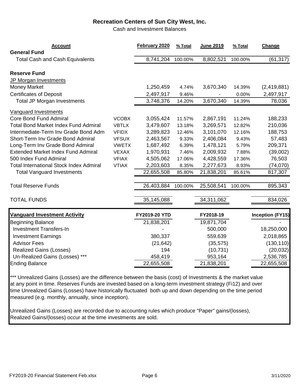Cash and Investment Balances

| <b>Account</b><br><b>General Fund</b>          |              | February 2020 | % Total | June 2019  | % Total | Change                  |
|------------------------------------------------|--------------|---------------|---------|------------|---------|-------------------------|
| <b>Total Cash and Cash Equivalents</b>         |              | 8,741,204     | 100.00% | 8,802,521  | 100.00% | (61, 317)               |
| <b>Reserve Fund</b><br>JP Morgan Investments   |              |               |         |            |         |                         |
| <b>Money Market</b>                            |              | 1,250,459     | 4.74%   | 3,670,340  | 14.39%  | (2,419,881)             |
| <b>Certificates of Deposit</b>                 |              | 2,497,917     | 9.46%   |            | 0.00%   | 2,497,917               |
| <b>Total JP Morgan Investments</b>             |              | 3,748,376     | 14.20%  | 3,670,340  | 14.39%  | 78,036                  |
| <b>Vanguard Investments</b>                    |              |               |         |            |         |                         |
| <b>Core Bond Fund Admiral</b>                  | <b>VCOBX</b> | 3,055,424     | 11.57%  | 2,867,191  | 11.24%  | 188,233                 |
| <b>Total Bond Market Index Fund Admiral</b>    | <b>VBTLX</b> | 3,479,607     | 13.18%  | 3,269,571  | 12.82%  | 210,036                 |
| Intermediate-Term Inv Grade Bond Adm           | <b>VFIDX</b> | 3,289,823     | 12.46%  | 3,101,070  | 12.16%  | 188,753                 |
| Short-Term Inv Grade Bond Admiral              | <b>VFSUX</b> | 2,463,567     | 9.33%   | 2,406,084  | 9.43%   | 57,483                  |
| Long-Term Inv Grade Bond Admiral               | <b>VWETX</b> | 1,687,492     | 6.39%   | 1,478,121  | 5.79%   | 209,371                 |
| <b>Extended Market Index Fund Admiral</b>      | <b>VEXAX</b> | 1,970,931     | 7.46%   | 2,009,932  | 7.88%   | (39,002)                |
| 500 Index Fund Admiral                         | <b>VFIAX</b> | 4,505,062     | 17.06%  | 4,428,559  | 17.36%  | 76,503                  |
| <b>Total International Stock Index Admiral</b> | <b>VTIAX</b> | 2,203,603     | 8.35%   | 2,277,673  | 8.93%   | (74,070)                |
| <b>Total Vanguard Investments</b>              |              | 22,655,508    | 85.80%  | 21,838,201 | 85.61%  | 817,307                 |
| <b>Total Reserve Funds</b>                     |              | 26,403,884    | 100.00% | 25,508,541 | 100.00% | 895,343                 |
| <b>TOTAL FUNDS</b>                             |              | 35,145,088    |         | 34,311,062 |         | 834,026                 |
| <b>Vanguard Investment Activity</b>            |              | FY2019-20 YTD |         | FY2018-19  |         | <b>Inception (FY15)</b> |
| <b>Beginning Balance</b>                       |              | 21,838,201    |         | 19,871,704 |         |                         |
| <b>Investment Transfers-In</b>                 |              |               |         | 500,000    |         | 18,250,000              |
| <b>Investment Earnings</b>                     |              | 380,337       |         | 559,639    |         | 2,018,865               |
| <b>Advisor Fees</b>                            |              | (21, 642)     |         | (35, 575)  |         | (130, 110)              |
| <b>Realized Gains (Losses)</b>                 |              | 194           |         | (10, 731)  |         | (20, 032)               |
| Un-Realized Gains (Losses) ***                 |              | 458,419       |         | 953,164    |         | 2,536,785               |
| <b>Ending Balance</b>                          |              | 22,655,508    |         | 21,838,201 |         | 22,655,508              |

\*\*\* Unrealized Gains (Losses) are the difference between the basis (cost) of Investments & the market value at any point in time. Reserves Funds are invested based on a long-term investment strategy (Fi12) and over time Unrealized Gains (Losses) have historically fluctuated both up and down depending on the time period measured (e.g. monthly, annually, since inception).

Unrealized Gains (Losses) are recorded due to accounting rules which produce "Paper" gains/(losses), Realized Gains/(losses) occur at the time investments are sold.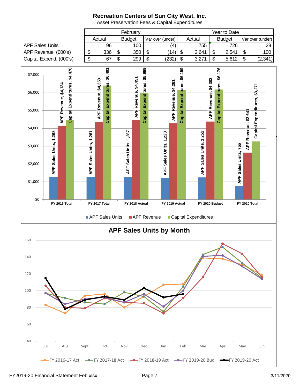February **The Contract Exercise Security** Year to Date Actual | Budget | Var over (under) | Actual | Budget | Var over (under) APF Sales Units 96 100 (4) 755 726 29 APF Revenue (000's)  $\begin{array}{|l|l|l|} \hline \text{$\$} & 336 & \text{$\$} & 350 & \text{$\$} & \text{$\$} & 14 \end{array}$   $\begin{array}{|l|l|} \hline \text{$\$} & 2,641 & \text{$\$} & 2,541 & \text{$\$} & 100 \end{array}$ Capital Expend. (000's)  $\boxed{\$}$  67  $\$\$$  299  $\$\$  (232)  $\$\$  3,271  $\$\$  5,612  $\$\$  (2,341) \$4,476 Capital Expenditures, \$6,401 Capital Expenditures, \$5,969 59 Capital Expenditures, \$6,176 **Capital Expenditures, \$4,476 Capital Expenditures, \$5,969 Capital Expenditures, \$6,159 Capital Expenditures, \$6,176 Capital Expenditures, \$6,401** \$7,000 Capital Expenditures, \$6, APF Revenue, \$4,451 **APF Revenue, \$4,451** APF Revenue, \$4,358 APF Revenue, \$4,382 **APF Revenue, \$4,382 APF Revenue, \$4,358** APF Revenue, \$4,281 **APF Revenue, \$4,281 APF Revenue, \$4,124** \$3,271 **Capital Expenditures, \$3,271** \$6,000 Expenditures, \$5,000 Revenue, \$2,641 **APF Revenue, \$2,641**  $\alpha$  2022 and for the 11 Months Ended \$4,000 Sales Units, 1,252 Sales Units, 1,268 **APF Sales Units, 1,268** APF Sales Units, 1,287 **APF Sales Units, 1,287** Sales Units, 1,261 Sales Units, 1,223 **APF Sales Units, 1,252 APF Sales Units, 1,261 APF Sales Units, 1,223** 31-May-17 **APF** Sales Units, 755 **APF Sales Units, 755** \$3,000 \$2,000 APF : **APF** APF S APF :  $45$ \$1,000 \$0 **FY 2016 Total FY 2017 Total FY 2018 Actual FY 2019 Actual FY 2020 Budget FY 2020 Total** APF Sales Units APF Revenue Capital Expenditures **APF Sales Units by Month** 160 140 120 100 80 60 40 Jul Aug Sept Oct Nov Dec Jan Feb Mar Apr May Jun

Asset Preservation Fees & Capital Expenditures

FY 2016-17 Act - FY 2017-18 Act - FY 2018-19 Act - FY 2019-20 Bud - FY 2019-20 Act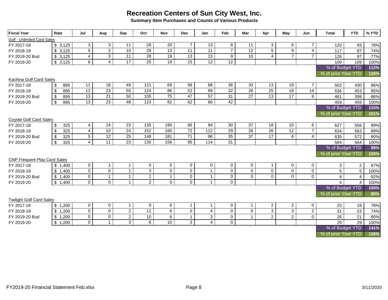**Summary Item Purchases and Counts of Various Products**

| <b>Fiscal Year</b>                  | Rate                             | Jul            | Aug             | Sep                 | Oct               | <b>Nov</b>      | <b>Dec</b>      | Jan             | Feb            | Mar             | Apr                 | May                 | Jun            | <b>Total</b>        | <b>YTD</b>     | % YTD |
|-------------------------------------|----------------------------------|----------------|-----------------|---------------------|-------------------|-----------------|-----------------|-----------------|----------------|-----------------|---------------------|---------------------|----------------|---------------------|----------------|-------|
| Golf - Unlimited Card Sales         |                                  |                |                 |                     |                   |                 |                 |                 |                |                 |                     |                     |                |                     |                |       |
| FY 2017-18                          | \$3,125                          | 3 <sup>1</sup> | 3 <sup>1</sup>  | 11                  | 28                | 20              | $\overline{7}$  | 13              | 8              | 11              | 3                   | 6                   | $\overline{7}$ | 120                 | 93             | 78%   |
| FY 2018-19                          | \$3,125                          | 5 <sup>5</sup> | $\overline{2}$  | 10                  | $\overline{28}$   | $\overline{13}$ | 11              | 11              | $\overline{7}$ | $\overline{12}$ | $\overline{5}$      | 9                   | $\overline{4}$ | 117                 | 87             | 74%   |
| FY 2019-20 Bud                      | \$3,125                          | $\overline{4}$ | $\overline{3}$  | $\overline{11}$     | 28                | $\overline{19}$ | 13              | $\overline{13}$ | 9              | 10 <sup>°</sup> | 4                   | $\overline{7}$      | $\overline{7}$ | 126                 | 97             | 77%   |
| FY 2019-20                          | \$3,125                          | 6              | $\overline{4}$  | $\overline{17}$     | 25                | 18              | 15              | 12              | 12             |                 |                     |                     |                | 109                 | 109            | 100%  |
|                                     |                                  |                |                 |                     |                   |                 |                 |                 |                |                 |                     |                     |                | % of Budget YTD     |                | 112%  |
|                                     |                                  |                |                 |                     |                   |                 |                 |                 |                |                 |                     | % of prior Year YTD |                | 125%                |                |       |
| Kachina Golf Card Sales             |                                  |                |                 |                     |                   |                 |                 |                 |                |                 |                     |                     |                |                     |                |       |
| FY 2017-18                          | $\sqrt[6]{3}$<br>895             | 11             | 18              | 49                  | 121               | 69              | 58              | 68              | 36             | 33              | 13                  | 19                  | $\overline{7}$ | 502                 | 430            | 86%   |
| FY 2018-19                          | 895<br>\$                        | 12             | 23              | 55                  | 124               | 86              | 52              | 69              | 32             | $\overline{26}$ | $\overline{25}$     | 18                  | 14             | 536                 | 453            | 85%   |
| FY 2019-20 Bud                      | 895<br>$\boldsymbol{\mathsf{S}}$ | 13             | $\overline{21}$ | 50                  | $\frac{105}{105}$ | 75              | 47              | 57              | 31             | 27              | 13                  | 17                  | $\overline{6}$ | 461                 | 398            | 86%   |
| FY 2019-20                          | $\boldsymbol{\mathsf{s}}$<br>895 | 13             | 23              | 48                  | 123               | 82              | 62              | 66              | 42             |                 |                     |                     |                | 459                 | 459            | 100%  |
|                                     |                                  |                |                 |                     |                   |                 |                 |                 |                |                 |                     |                     |                | % of Budget YTD     |                | 115%  |
|                                     |                                  |                |                 |                     |                   |                 |                 |                 |                |                 |                     |                     |                | % of prior Year YTD |                | 101%  |
| Coyote Golf Card Sales              |                                  |                |                 |                     |                   |                 |                 |                 |                |                 |                     |                     |                |                     |                |       |
| FY 2017-18                          | $\boldsymbol{\mathsf{s}}$<br>325 | $\overline{4}$ | $\overline{14}$ | $\overline{23}$     | $\overline{135}$  | 190             | 66              | 94              | 30             | 37              | $\overline{18}$     | 10                  | 6              | 627                 | 556            | 89%   |
| FY 2018-19                          | 325<br>\$                        | $\overline{4}$ | 10              | 24                  | 152               | 160             | $\overline{72}$ | 112             | 29             | $\overline{26}$ | $\overline{26}$     | 12                  | $\overline{7}$ | 634                 | 563            | 89%   |
| FY 2019-20 Bud                      | 325<br>-\$                       | $\overline{5}$ | 12              | $\overline{25}$     | 148               | 181             | 71              | 96              | 35             | $\overline{37}$ | 17                  | 6                   | $\overline{4}$ | 635                 | 572            | 90%   |
| FY 2019-20                          | $\sqrt[6]{\frac{1}{2}}$<br>325   | $\overline{4}$ | $\overline{11}$ | 23                  | 130               | 156             | 95              | 114             | 31             |                 |                     |                     |                | 564                 | 564            | 100%  |
|                                     |                                  |                |                 |                     |                   |                 |                 |                 |                |                 |                     |                     |                | % of Budget YTD     |                | 99%   |
|                                     |                                  |                |                 |                     |                   |                 |                 |                 |                |                 |                     |                     |                | % of prior Year YTD |                | 100%  |
| <b>CNP Frequent Play Card Sales</b> |                                  |                |                 |                     |                   |                 |                 |                 |                |                 |                     |                     |                |                     |                |       |
| FY 2017-18                          | \$1,400                          | $\mathbf 0$    | $\mathbf{1}$    | $\mathbf{1}$        | $\mathbf 0$       | $\mathbf 0$     | $\mathsf{O}$    | $\mathbf 0$     | $\mathbf 0$    | $\mathsf{O}$    | $\overline{1}$      | $\mathbf 0$         | $\mathbf 0$    | $\mathbf{3}$        | $\overline{2}$ | 67%   |
| FY 2018-19                          | \$1,400                          | $\mathbf 0$    | $\mathbf 0$     | $\mathbf{1}$        | 3                 | $\mathbf 0$     | $\mathbf 0$     | $\overline{1}$  | $\Omega$       | $\mathbf 0$     | $\mathbf 0$         | $\mathbf 0$         | $\mathbf 0$    | 5                   | 5              | 100%  |
| FY 2019-20 Bud                      | \$1,400                          | $\mathbf 0$    | $\mathbf 1$     | $\mathbf{1}$        | $\mathbf{1}$      | $\mathbf{1}$    | $\pmb{0}$       | $\overline{1}$  | $\mathbf 0$    | $\Omega$        | $\Omega$            | $\Omega$            | $\Omega$       | $\overline{4}$      | 4              | 92%   |
| FY 2019-20                          | \$1,400                          | $\mathbf 0$    | $\mathbf 0$     | $\mathbf{1}$        | $\overline{2}$    | $\Omega$        | $\mathbf 0$     | $\mathbf{1}$    | $\Omega$       |                 |                     |                     |                | 4                   | $\Delta$       | 100%  |
|                                     |                                  |                |                 |                     |                   |                 |                 |                 |                |                 |                     |                     |                | % of Budget YTD     |                | 100%  |
|                                     |                                  |                |                 |                     |                   |                 |                 |                 |                |                 |                     |                     |                | % of prior Year YTD |                | 80%   |
| <b>Twilight Golf Card Sales</b>     |                                  |                |                 |                     |                   |                 |                 |                 |                |                 |                     |                     |                |                     |                |       |
| FY 2017-18                          | \$1,200                          | $\mathbf 0$    | $\mathbf 0$     | $\mathbf{1}$        | 9                 | 6               | $\mathbf{1}$    | $\overline{1}$  | $\mathbf 0$    | $\mathbf{1}$    | $\overline{2}$      | $\overline{a}$      | $\overline{0}$ | 23                  | 18             | 78%   |
| FY 2018-19                          | 1,200<br>\$                      | $\mathbf 0$    | $\mathbf 0$     | $\overline{2}$      | 11                | 6               | $\pmb{0}$       | 4               | $\mathbf 0$    | $\mathsf{O}$    | $\overline{\omega}$ | $\overline{3}$      | $\overline{2}$ | 31                  | 23             | 74%   |
| FY 2019-20 Bud                      | \$1,200                          | $\overline{0}$ | $\overline{0}$  | $\overline{2}$      | 10                | 6               | $\mathbf{1}$    | 3               | $\mathbf 0$    | $\mathbf{1}$    | $\overline{2}$      | $\overline{2}$      | $\overline{0}$ | 26                  | 21             | 80%   |
| FY 2019-20                          | \$1,200                          | $\overline{0}$ | $\mathbf{1}$    | $\overline{\omega}$ | 8                 | 10 <sup>°</sup> | 3 <sup>1</sup>  | $\overline{4}$  | $\mathbf 0$    |                 |                     |                     |                | 29                  | 29             | 100%  |
|                                     |                                  |                |                 |                     |                   |                 |                 |                 |                |                 |                     |                     |                | % of Budget YTD     |                | 141%  |
|                                     |                                  |                |                 |                     |                   |                 |                 |                 |                |                 |                     |                     |                | % of prior Year YTD |                | 126%  |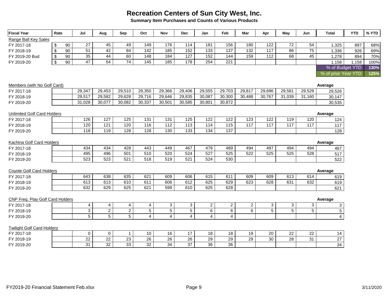**Summary Item Purchases and Counts of Various Products**

| <b>Fiscal Year</b>                 | Rate                    |    | Jul             | Aug             | Sep             | Oct                     | Nov             | <b>Dec</b>     | Jan              | Feb             | Mar              | Apr              | May              | Jun             | <b>Total</b>            | <b>YTD</b> | % YTD |
|------------------------------------|-------------------------|----|-----------------|-----------------|-----------------|-------------------------|-----------------|----------------|------------------|-----------------|------------------|------------------|------------------|-----------------|-------------------------|------------|-------|
| Range Ball Key Sales               |                         |    |                 |                 |                 |                         |                 |                |                  |                 |                  |                  |                  |                 |                         |            |       |
| FY 2017-18                         | \$                      | 90 | 27              | 45              | 49              | 149                     | 176             | 114            | 181              | 156             | 180              | 122              | 72               | 54              | 1,325                   | 897        | 68%   |
| FY 2018-19                         | $\sqrt[6]{\frac{1}{2}}$ | 90 | $\overline{51}$ | 42              | 84              | 142                     | 185             | 152            | $\overline{133}$ | 137             | $\frac{1}{32}$   | 117              | $\overline{86}$  | 75              | 1,336                   | 926        | 69%   |
| FY 2019-20 Bud                     | $\sqrt[6]{\frac{1}{2}}$ | 90 | 35              | 44              | 60              | 148                     | 184             | 127            | 152              | 144             | 159              | 112              | 68               | 45              | 1.278                   | 894        | 70%   |
| FY 2019-20                         | $\sqrt[6]{\frac{1}{2}}$ | 90 | 47              | 54              | $\overline{74}$ | 145                     | 185             | 178            | 254              | 221             |                  |                  |                  |                 | 1,158                   | 1,158      | 100%  |
|                                    |                         |    |                 |                 |                 |                         |                 |                |                  |                 |                  |                  |                  |                 | % of Budget YTD         |            | 130%  |
|                                    |                         |    |                 |                 |                 |                         |                 |                |                  |                 |                  |                  |                  |                 | % of prior Year YTD     |            | 125%  |
| Members (with No Golf Card)        |                         |    |                 |                 |                 |                         |                 |                |                  |                 |                  |                  |                  |                 | Average                 |            |       |
| FY 2017-18                         |                         |    | 29,347          | 29,453          | 29,510          | 29,350                  | 29,366          | 29,406         | 29,555           | 29,703          | 29,817           | 29,696           | 29,581           | 29,529          | 29,526                  |            |       |
| FY 2018-19                         |                         |    | 29,517          | 29,582          | 29,628          | 29,716                  | 29,646          | 29,835         | 30.087           | 30,300          | 30,488           | 30,767           | 31,039           | 31,160          | 30,147                  |            |       |
| FY 2019-20                         |                         |    | 31,028          | 30,077          | 30,082          | 30,337                  | 30,501          | 30,585         | 30.801           | 30,872          |                  |                  |                  |                 | 30,535                  |            |       |
| <b>Unlimited Golf Card Holders</b> |                         |    |                 |                 |                 |                         |                 |                |                  |                 |                  |                  |                  |                 | Average                 |            |       |
| FY 2017-18                         |                         |    | 126             | $\frac{1}{27}$  | 125             | 131                     | 131             | 125            | 122              | 122             | 123              | 122              | 119              | 120             | 124                     |            |       |
| FY 2018-19                         |                         |    | 120             | 121             | 120             | 116                     | 112             | 113            | 114              | 115             | $\overline{117}$ | $\overline{117}$ | $\overline{117}$ | 117             | 117                     |            |       |
| FY 2019-20                         |                         |    | 118             | 119             | 128             | 128                     | 130             | 133            | 134              | 137             |                  |                  |                  |                 | 128                     |            |       |
| Kachina Golf Card Holders          |                         |    |                 |                 |                 |                         |                 |                |                  |                 |                  |                  |                  |                 | Average                 |            |       |
| FY 2017-18                         |                         |    | 434             | 434             | 428             | 443                     | 449             | 467            | 479              | 489             | 494              | 497              | 494              | 494             | 467                     |            |       |
| FY 2018-19                         |                         |    | 495             | 496             | 501             | 510                     | 520             | 524            | 527              | 525             | 522              | 525              | 525              | 528             | 517                     |            |       |
| FY 2019-20                         |                         |    | 523             | 523             | 521             | 518                     | 519             | 521            | 524              | 530             |                  |                  |                  |                 | 522                     |            |       |
| Coyote Golf Card Holders           |                         |    |                 |                 |                 |                         |                 |                |                  |                 |                  |                  |                  |                 | Average                 |            |       |
| FY 2017-18                         |                         |    | 643             | 638             | 635             | 621                     | 609             | 606            | 615              | 611             | 609              | 609              | 613              | 614             | 619                     |            |       |
| FY 2018-19                         |                         |    | 613             | 613             | 610             | 611                     | 606             | 612            | 625              | 629             | 623              | 628              | 631              | 632             | 619                     |            |       |
| FY 2019-20                         |                         |    | 632             | 629             | 625             | 621                     | 599             | 610            | 625              | 628             |                  |                  |                  |                 | 621                     |            |       |
| CNP Freq. Play Golf Card Holders   |                         |    |                 |                 |                 |                         |                 |                |                  |                 |                  |                  |                  |                 | Average                 |            |       |
| FY 2017-18                         |                         |    | $\overline{4}$  | 4               | 4               | 4                       | 3               | 3              | $\overline{2}$   | $\overline{a}$  | $\overline{2}$   | 3                | 3                | 3               | 3                       |            |       |
| FY 2018-19                         |                         |    | $\overline{3}$  | $\overline{2}$  | $\overline{2}$  | $\overline{5}$          | $\overline{5}$  | $\overline{5}$ | $\overline{6}$   | $\overline{6}$  | $\overline{6}$   | $\overline{5}$   | $\overline{5}$   | $5\phantom{.0}$ | 5                       |            |       |
| FY 2019-20                         |                         |    | $\overline{5}$  | $\overline{5}$  | $\overline{5}$  | $\overline{\mathbf{4}}$ | $\overline{4}$  | $\overline{4}$ | $\overline{4}$   | $\overline{4}$  |                  |                  |                  |                 | $\overline{\mathbf{4}}$ |            |       |
| <b>Twilight Golf Card Holders</b>  |                         |    |                 |                 |                 |                         |                 |                |                  |                 |                  |                  |                  |                 |                         |            |       |
| FY 2017-18                         |                         |    | 0               | $\mathbf 0$     | $\mathbf 1$     | 10                      | 16              | 17             | 18               | 18              | 19               | 20               | 22               | 22              | 14                      |            |       |
| FY 2018-19                         |                         |    | $\overline{22}$ | $\overline{22}$ | $\overline{23}$ | $\overline{26}$         | $\overline{26}$ | 26             | 29               | $\overline{29}$ | 29               | 30               | 28               | 31              | $\overline{27}$         |            |       |
| FY 2019-20                         |                         |    | 31              | $\overline{32}$ | 33              | $\overline{32}$         | $\overline{34}$ | 37             | 36               | 36              |                  |                  |                  |                 | 34                      |            |       |